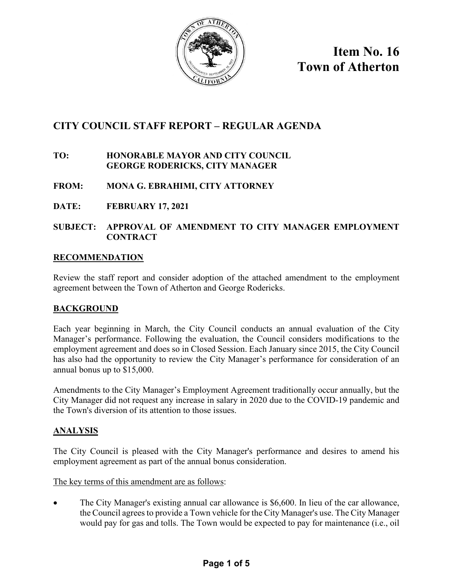

**Item No. 16 Town of Atherton**

# **CITY COUNCIL STAFF REPORT – REGULAR AGENDA**

### **TO: HONORABLE MAYOR AND CITY COUNCIL GEORGE RODERICKS, CITY MANAGER**

## **FROM: MONA G. EBRAHIMI, CITY ATTORNEY**

**DATE: FEBRUARY 17, 2021** 

### **SUBJECT: APPROVAL OF AMENDMENT TO CITY MANAGER EMPLOYMENT CONTRACT**

### **RECOMMENDATION**

Review the staff report and consider adoption of the attached amendment to the employment agreement between the Town of Atherton and George Rodericks.

### **BACKGROUND**

Each year beginning in March, the City Council conducts an annual evaluation of the City Manager's performance. Following the evaluation, the Council considers modifications to the employment agreement and does so in Closed Session. Each January since 2015, the City Council has also had the opportunity to review the City Manager's performance for consideration of an annual bonus up to \$15,000.

Amendments to the City Manager's Employment Agreement traditionally occur annually, but the City Manager did not request any increase in salary in 2020 due to the COVID-19 pandemic and the Town's diversion of its attention to those issues.

### **ANALYSIS**

The City Council is pleased with the City Manager's performance and desires to amend his employment agreement as part of the annual bonus consideration.

The key terms of this amendment are as follows:

• The City Manager's existing annual car allowance is \$6,600. In lieu of the car allowance, the Council agrees to provide a Town vehicle for the City Manager's use. The City Manager would pay for gas and tolls. The Town would be expected to pay for maintenance (i.e., oil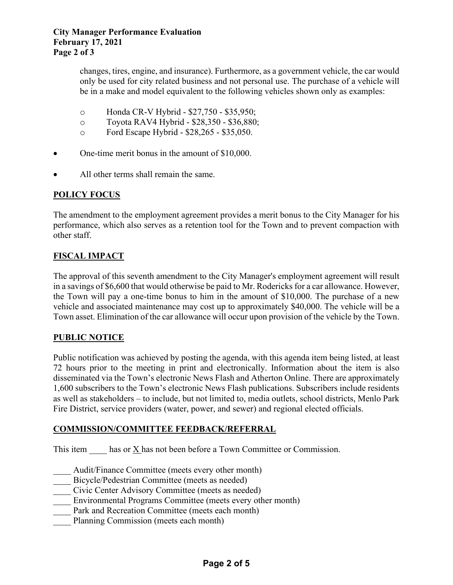changes, tires, engine, and insurance). Furthermore, as a government vehicle, the car would only be used for city related business and not personal use. The purchase of a vehicle will be in a make and model equivalent to the following vehicles shown only as examples:

- o Honda CR-V Hybrid \$27,750 \$35,950;
- o Toyota RAV4 Hybrid \$28,350 \$36,880;
- o Ford Escape Hybrid \$28,265 \$35,050.
- One-time merit bonus in the amount of \$10,000.
- All other terms shall remain the same.

#### **POLICY FOCUS**

The amendment to the employment agreement provides a merit bonus to the City Manager for his performance, which also serves as a retention tool for the Town and to prevent compaction with other staff.

### **FISCAL IMPACT**

The approval of this seventh amendment to the City Manager's employment agreement will result in a savings of \$6,600 that would otherwise be paid to Mr. Rodericks for a car allowance. However, the Town will pay a one-time bonus to him in the amount of \$10,000. The purchase of a new vehicle and associated maintenance may cost up to approximately \$40,000. The vehicle will be a Town asset. Elimination of the car allowance will occur upon provision of the vehicle by the Town.

#### **PUBLIC NOTICE**

Public notification was achieved by posting the agenda, with this agenda item being listed, at least 72 hours prior to the meeting in print and electronically. Information about the item is also disseminated via the Town's electronic News Flash and Atherton Online. There are approximately 1,600 subscribers to the Town's electronic News Flash publications. Subscribers include residents as well as stakeholders – to include, but not limited to, media outlets, school districts, Menlo Park Fire District, service providers (water, power, and sewer) and regional elected officials.

#### **COMMISSION/COMMITTEE FEEDBACK/REFERRAL**

This item has or X has not been before a Town Committee or Commission.

- Audit/Finance Committee (meets every other month)
- Bicycle/Pedestrian Committee (meets as needed)
- Civic Center Advisory Committee (meets as needed)
- Environmental Programs Committee (meets every other month)
- Park and Recreation Committee (meets each month)
- Planning Commission (meets each month)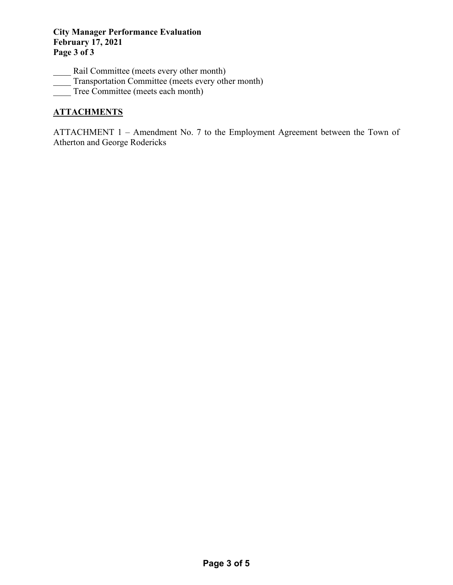### **City Manager Performance Evaluation February 17, 2021 Page 3 of 3**

- Rail Committee (meets every other month)
- Transportation Committee (meets every other month)
- Tree Committee (meets each month)

## **ATTACHMENTS**

ATTACHMENT 1 – Amendment No. 7 to the Employment Agreement between the Town of Atherton and George Rodericks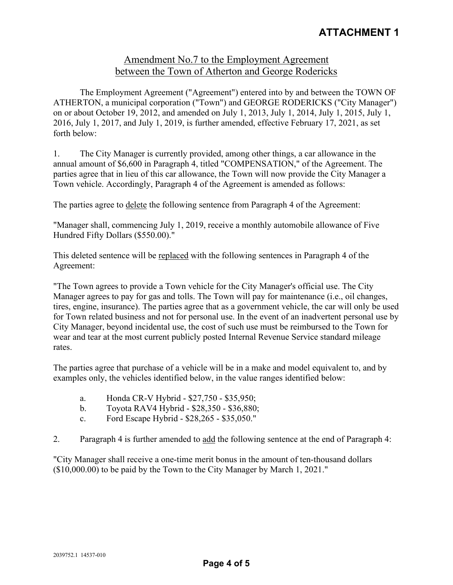## Amendment No.7 to the Employment Agreement between the Town of Atherton and George Rodericks

The Employment Agreement ("Agreement") entered into by and between the TOWN OF ATHERTON, a municipal corporation ("Town") and GEORGE RODERICKS ("City Manager") on or about October 19, 2012, and amended on July 1, 2013, July 1, 2014, July 1, 2015, July 1, 2016, July 1, 2017, and July 1, 2019, is further amended, effective February 17, 2021, as set forth below:

1. The City Manager is currently provided, among other things, a car allowance in the annual amount of \$6,600 in Paragraph 4, titled "COMPENSATION," of the Agreement. The parties agree that in lieu of this car allowance, the Town will now provide the City Manager a Town vehicle. Accordingly, Paragraph 4 of the Agreement is amended as follows:

The parties agree to delete the following sentence from Paragraph 4 of the Agreement:

"Manager shall, commencing July 1, 2019, receive a monthly automobile allowance of Five Hundred Fifty Dollars (\$550.00)."

This deleted sentence will be replaced with the following sentences in Paragraph 4 of the Agreement:

"The Town agrees to provide a Town vehicle for the City Manager's official use. The City Manager agrees to pay for gas and tolls. The Town will pay for maintenance (i.e., oil changes, tires, engine, insurance). The parties agree that as a government vehicle, the car will only be used for Town related business and not for personal use. In the event of an inadvertent personal use by City Manager, beyond incidental use, the cost of such use must be reimbursed to the Town for wear and tear at the most current publicly posted Internal Revenue Service standard mileage rates.

The parties agree that purchase of a vehicle will be in a make and model equivalent to, and by examples only, the vehicles identified below, in the value ranges identified below:

- a. Honda CR-V Hybrid \$27,750 \$35,950;
- b. Toyota RAV4 Hybrid \$28,350 \$36,880;
- c. Ford Escape Hybrid \$28,265 \$35,050."
- 2. Paragraph 4 is further amended to add the following sentence at the end of Paragraph 4:

"City Manager shall receive a one-time merit bonus in the amount of ten-thousand dollars (\$10,000.00) to be paid by the Town to the City Manager by March 1, 2021."